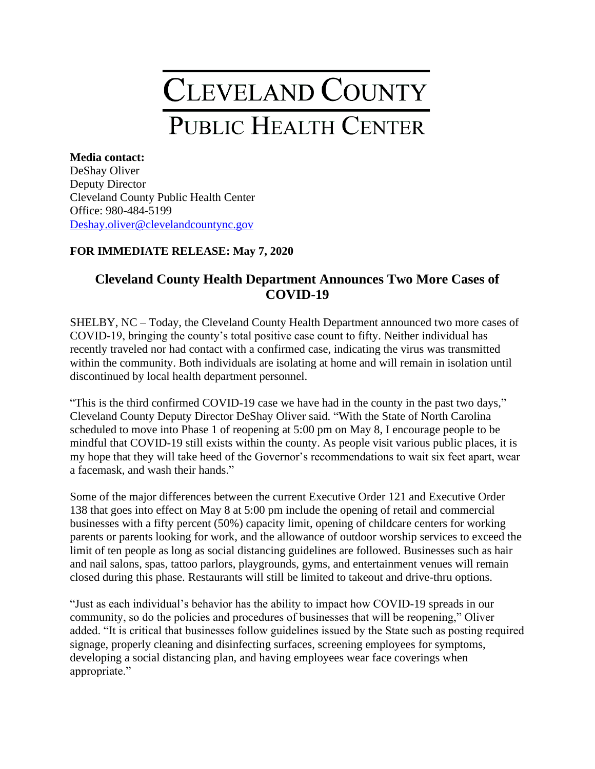## **CLEVELAND COUNTY PUBLIC HEALTH CENTER**

## **Media contact:** DeShay Oliver Deputy Director Cleveland County Public Health Center Office: 980-484-5199 [Deshay.oliver@clevelandcountync.g](mailto:Deshay.oliver@clevelandcountync.)ov

## **FOR IMMEDIATE RELEASE: May 7, 2020**

## **Cleveland County Health Department Announces Two More Cases of COVID-19**

SHELBY, NC – Today, the Cleveland County Health Department announced two more cases of COVID-19, bringing the county's total positive case count to fifty. Neither individual has recently traveled nor had contact with a confirmed case, indicating the virus was transmitted within the community. Both individuals are isolating at home and will remain in isolation until discontinued by local health department personnel.

"This is the third confirmed COVID-19 case we have had in the county in the past two days," Cleveland County Deputy Director DeShay Oliver said. "With the State of North Carolina scheduled to move into Phase 1 of reopening at 5:00 pm on May 8, I encourage people to be mindful that COVID-19 still exists within the county. As people visit various public places, it is my hope that they will take heed of the Governor's recommendations to wait six feet apart, wear a facemask, and wash their hands."

Some of the major differences between the current Executive Order 121 and Executive Order 138 that goes into effect on May 8 at 5:00 pm include the opening of retail and commercial businesses with a fifty percent (50%) capacity limit, opening of childcare centers for working parents or parents looking for work, and the allowance of outdoor worship services to exceed the limit of ten people as long as social distancing guidelines are followed. Businesses such as hair and nail salons, spas, tattoo parlors, playgrounds, gyms, and entertainment venues will remain closed during this phase. Restaurants will still be limited to takeout and drive-thru options.

"Just as each individual's behavior has the ability to impact how COVID-19 spreads in our community, so do the policies and procedures of businesses that will be reopening," Oliver added. "It is critical that businesses follow guidelines issued by the State such as posting required signage, properly cleaning and disinfecting surfaces, screening employees for symptoms, developing a social distancing plan, and having employees wear face coverings when appropriate."